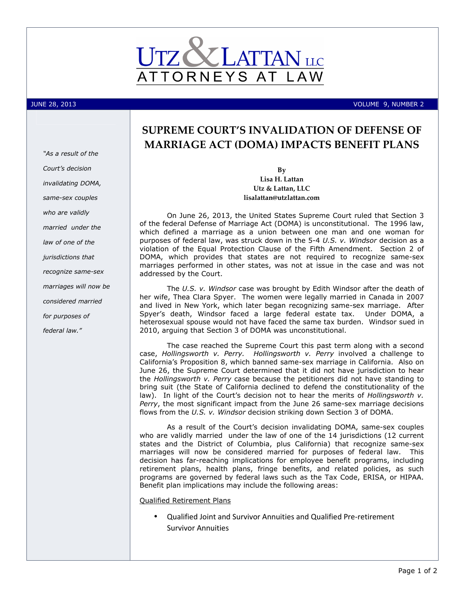

JUNE 28, 2013 VOLUME 9, NUMBER 2

# SUPREME COURT'S INVALIDATION OF DEFENSE OF MARRIAGE ACT (DOMA) IMPACTS BENEFIT PLANS

By Lisa H. Lattan Utz & Lattan, LLC lisalattan@utzlattan.com

On June 26, 2013, the United States Supreme Court ruled that Section 3 of the federal Defense of Marriage Act (DOMA) is unconstitutional. The 1996 law, which defined a marriage as a union between one man and one woman for purposes of federal law, was struck down in the 5-4 U.S. v. Windsor decision as a violation of the Equal Protection Clause of the Fifth Amendment. Section 2 of DOMA, which provides that states are not required to recognize same-sex marriages performed in other states, was not at issue in the case and was not addressed by the Court.

The U.S. v. Windsor case was brought by Edith Windsor after the death of her wife, Thea Clara Spyer. The women were legally married in Canada in 2007 and lived in New York, which later began recognizing same-sex marriage. After Spyer's death, Windsor faced a large federal estate tax. Under DOMA, a heterosexual spouse would not have faced the same tax burden. Windsor sued in 2010, arguing that Section 3 of DOMA was unconstitutional.

The case reached the Supreme Court this past term along with a second case, Hollingsworth v. Perry. Hollingsworth v. Perry involved a challenge to California's Proposition 8, which banned same-sex marriage in California. Also on June 26, the Supreme Court determined that it did not have jurisdiction to hear the Hollingsworth v. Perry case because the petitioners did not have standing to bring suit (the State of California declined to defend the constitutionality of the law). In light of the Court's decision not to hear the merits of *Hollingsworth v.* Perry, the most significant impact from the June 26 same-sex marriage decisions flows from the U.S. v. Windsor decision striking down Section 3 of DOMA.

As a result of the Court's decision invalidating DOMA, same-sex couples who are validly married under the law of one of the 14 jurisdictions (12 current states and the District of Columbia, plus California) that recognize same-sex marriages will now be considered married for purposes of federal law. This decision has far-reaching implications for employee benefit programs, including retirement plans, health plans, fringe benefits, and related policies, as such programs are governed by federal laws such as the Tax Code, ERISA, or HIPAA. Benefit plan implications may include the following areas:

Qualified Retirement Plans

• Qualified Joint and Survivor Annuities and Qualified Pre-retirement Survivor Annuities

"As a result of the Court's decision invalidating DOMA, same-sex couples who are validly married under the law of one of the jurisdictions that recognize same-sex marriages will now be considered married for purposes of federal law."